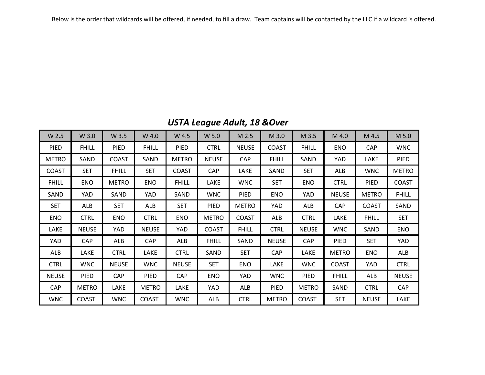Below is the order that wildcards will be offered, if needed, to fill a draw. Team captains will be contacted by the LLC if a wildcard is offered.

| <b>USTA League Adult, 18 &amp; Over</b> |  |  |  |
|-----------------------------------------|--|--|--|
|-----------------------------------------|--|--|--|

| W 2.5        | W 3.0        | W 3.5        | W 4.0        | W 4.5        | W 5.0        | M 2.5        | M 3.0        | M 3.5        | M 4.0        | M 4.5        | M 5.0        |
|--------------|--------------|--------------|--------------|--------------|--------------|--------------|--------------|--------------|--------------|--------------|--------------|
| <b>PIED</b>  | <b>FHILL</b> | <b>PIED</b>  | <b>FHILL</b> | <b>PIED</b>  | <b>CTRL</b>  | <b>NEUSE</b> | <b>COAST</b> | <b>FHILL</b> | ENO          | <b>CAP</b>   | <b>WNC</b>   |
| <b>METRO</b> | SAND         | <b>COAST</b> | SAND         | <b>METRO</b> | <b>NEUSE</b> | CAP          | <b>FHILL</b> | SAND         | <b>YAD</b>   | LAKE         | <b>PIED</b>  |
| <b>COAST</b> | <b>SET</b>   | <b>FHILL</b> | <b>SET</b>   | <b>COAST</b> | <b>CAP</b>   | LAKE         | SAND         | <b>SET</b>   | ALB          | <b>WNC</b>   | <b>METRO</b> |
| <b>FHILL</b> | <b>ENO</b>   | <b>METRO</b> | <b>ENO</b>   | <b>FHILL</b> | LAKE         | <b>WNC</b>   | <b>SET</b>   | <b>ENO</b>   | <b>CTRL</b>  | PIED         | <b>COAST</b> |
| SAND         | YAD          | SAND         | YAD          | SAND         | <b>WNC</b>   | <b>PIED</b>  | <b>ENO</b>   | YAD          | <b>NEUSE</b> | <b>METRO</b> | <b>FHILL</b> |
| <b>SET</b>   | ALB          | <b>SET</b>   | <b>ALB</b>   | <b>SET</b>   | <b>PIED</b>  | <b>METRO</b> | YAD          | ALB          | <b>CAP</b>   | <b>COAST</b> | SAND         |
| <b>ENO</b>   | <b>CTRL</b>  | <b>ENO</b>   | <b>CTRL</b>  | <b>ENO</b>   | <b>METRO</b> | <b>COAST</b> | ALB          | <b>CTRL</b>  | LAKE         | <b>FHILL</b> | <b>SET</b>   |
| LAKE         | <b>NEUSE</b> | YAD          | <b>NEUSE</b> | <b>YAD</b>   | <b>COAST</b> | <b>FHILL</b> | <b>CTRL</b>  | <b>NEUSE</b> | <b>WNC</b>   | SAND         | <b>ENO</b>   |
| YAD          | <b>CAP</b>   | <b>ALB</b>   | <b>CAP</b>   | <b>ALB</b>   | <b>FHILL</b> | SAND         | <b>NEUSE</b> | <b>CAP</b>   | <b>PIED</b>  | <b>SET</b>   | YAD          |
| <b>ALB</b>   | LAKE         | <b>CTRL</b>  | LAKE         | <b>CTRL</b>  | SAND         | <b>SET</b>   | <b>CAP</b>   | LAKE         | <b>METRO</b> | <b>ENO</b>   | <b>ALB</b>   |
| <b>CTRL</b>  | <b>WNC</b>   | <b>NEUSE</b> | <b>WNC</b>   | <b>NEUSE</b> | <b>SET</b>   | <b>ENO</b>   | LAKE         | <b>WNC</b>   | <b>COAST</b> | YAD          | <b>CTRL</b>  |
| <b>NEUSE</b> | <b>PIED</b>  | <b>CAP</b>   | <b>PIED</b>  | <b>CAP</b>   | <b>ENO</b>   | <b>YAD</b>   | <b>WNC</b>   | PIED         | <b>FHILL</b> | ALB          | <b>NEUSE</b> |
| <b>CAP</b>   | <b>METRO</b> | LAKE         | <b>METRO</b> | LAKE         | YAD          | ALB          | <b>PIED</b>  | <b>METRO</b> | SAND         | <b>CTRL</b>  | <b>CAP</b>   |
| <b>WNC</b>   | <b>COAST</b> | <b>WNC</b>   | <b>COAST</b> | <b>WNC</b>   | ALB          | <b>CTRL</b>  | <b>METRO</b> | <b>COAST</b> | <b>SET</b>   | <b>NEUSE</b> | LAKE         |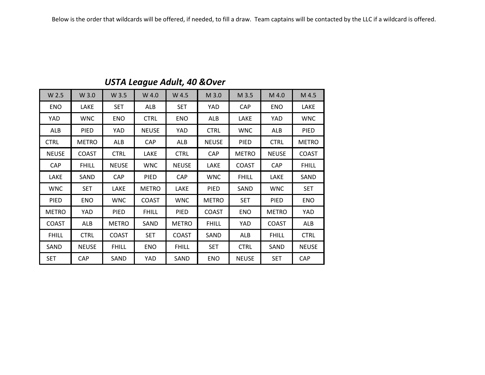| W 2.5        | W 3.0        | W 3.5        | W 4.0        | W 4.5        | M 3.0        | M 3.5        | M 4.0        | M 4.5        |
|--------------|--------------|--------------|--------------|--------------|--------------|--------------|--------------|--------------|
| <b>ENO</b>   | LAKE         | <b>SET</b>   | <b>ALB</b>   | <b>SET</b>   | <b>YAD</b>   | CAP          | <b>ENO</b>   | LAKE         |
| YAD          | <b>WNC</b>   | <b>ENO</b>   | <b>CTRL</b>  | <b>ENO</b>   | ALB          | LAKE         | YAD          | <b>WNC</b>   |
| ALB          | <b>PIED</b>  | YAD          | <b>NEUSE</b> | YAD          | <b>CTRL</b>  | <b>WNC</b>   | ALB          | PIED         |
| <b>CTRL</b>  | <b>METRO</b> | ALB          | CAP          | ALB          | <b>NEUSE</b> | PIED         | <b>CTRL</b>  | <b>METRO</b> |
| <b>NEUSE</b> | <b>COAST</b> | <b>CTRL</b>  | LAKE         | <b>CTRL</b>  | CAP          | <b>METRO</b> | <b>NEUSE</b> | <b>COAST</b> |
| <b>CAP</b>   | <b>FHILL</b> | <b>NEUSE</b> | <b>WNC</b>   | <b>NEUSE</b> | LAKE         | <b>COAST</b> | CAP          | <b>FHILL</b> |
| LAKE         | SAND         | <b>CAP</b>   | PIED         | <b>CAP</b>   | <b>WNC</b>   | <b>FHILL</b> | LAKE         | SAND         |
| <b>WNC</b>   | <b>SET</b>   | LAKE         | <b>METRO</b> | LAKE         | PIED         | SAND         | <b>WNC</b>   | <b>SET</b>   |
| <b>PIED</b>  | <b>ENO</b>   | <b>WNC</b>   | <b>COAST</b> | <b>WNC</b>   | <b>METRO</b> | <b>SET</b>   | PIED         | <b>ENO</b>   |
| <b>METRO</b> | YAD          | PIED         | <b>FHILL</b> | PIED         | <b>COAST</b> | <b>ENO</b>   | <b>METRO</b> | YAD          |
| <b>COAST</b> | ALB          | <b>METRO</b> | SAND         | <b>METRO</b> | <b>FHILL</b> | YAD          | <b>COAST</b> | <b>ALB</b>   |
| <b>FHILL</b> | <b>CTRL</b>  | <b>COAST</b> | <b>SET</b>   | <b>COAST</b> | SAND         | <b>ALB</b>   | <b>FHILL</b> | <b>CTRL</b>  |
| SAND         | <b>NEUSE</b> | <b>FHILL</b> | <b>ENO</b>   | <b>FHILL</b> | <b>SET</b>   | <b>CTRL</b>  | SAND         | <b>NEUSE</b> |
| <b>SET</b>   | <b>CAP</b>   | SAND         | <b>YAD</b>   | SAND         | <b>ENO</b>   | <b>NEUSE</b> | <b>SET</b>   | <b>CAP</b>   |

#### *USTA League Adult, 40 &Over*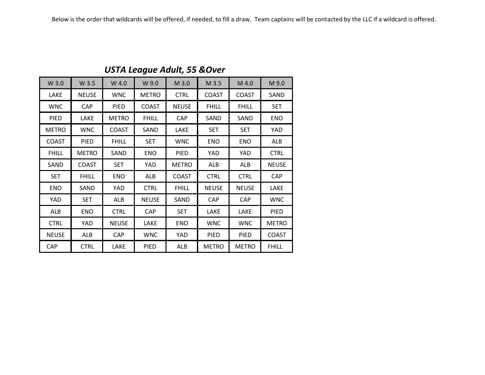| W 3.0        | W 3.5        | W 4.0        | W 9.0        | M 3.0        | M 3.5        | M 4.0        | M 9.0        |
|--------------|--------------|--------------|--------------|--------------|--------------|--------------|--------------|
| LAKE         | <b>NEUSE</b> | <b>WNC</b>   | <b>METRO</b> | <b>CTRL</b>  | <b>COAST</b> | <b>COAST</b> | SAND         |
| <b>WNC</b>   | <b>CAP</b>   | PIED         | <b>COAST</b> | <b>NEUSE</b> | <b>FHILL</b> | <b>FHILL</b> | <b>SET</b>   |
| PIED         | LAKE         | <b>METRO</b> | <b>FHILL</b> | <b>CAP</b>   | SAND         | SAND         | <b>ENO</b>   |
| <b>METRO</b> | <b>WNC</b>   | <b>COAST</b> | SAND         | LAKE         | <b>SET</b>   | <b>SET</b>   | YAD          |
| <b>COAST</b> | <b>PIED</b>  | <b>FHILL</b> | <b>SET</b>   | <b>WNC</b>   | <b>ENO</b>   | ENO          | ALB          |
| <b>FHILL</b> | <b>METRO</b> | SAND         | <b>ENO</b>   | <b>PIED</b>  | YAD          | YAD          | <b>CTRL</b>  |
| SAND         | <b>COAST</b> | <b>SET</b>   | YAD          | <b>METRO</b> | ALB          | ALB          | <b>NEUSE</b> |
| <b>SET</b>   | <b>FHILL</b> | ENO          | ALB          | <b>COAST</b> | <b>CTRL</b>  | <b>CTRL</b>  | <b>CAP</b>   |
| <b>ENO</b>   | SAND         | YAD          | <b>CTRL</b>  | <b>FHILL</b> | <b>NEUSE</b> | <b>NEUSE</b> | LAKE         |
| YAD          | <b>SET</b>   | ALB          | <b>NEUSE</b> | SAND         | <b>CAP</b>   | <b>CAP</b>   | <b>WNC</b>   |
| ALB          | <b>ENO</b>   | <b>CTRL</b>  | CAP          | <b>SET</b>   | LAKE         | LAKE         | PIED         |
| <b>CTRL</b>  | YAD          | <b>NEUSE</b> | LAKE         | <b>ENO</b>   | <b>WNC</b>   | <b>WNC</b>   | <b>METRO</b> |
| <b>NEUSE</b> | ALB          | <b>CAP</b>   | <b>WNC</b>   | YAD          | PIED         | <b>PIED</b>  | <b>COAST</b> |
| <b>CAP</b>   | <b>CTRL</b>  | LAKE         | <b>PIED</b>  | ALB          | <b>METRO</b> | <b>METRO</b> | <b>FHILL</b> |

### *USTA League Adult, 55 &Over*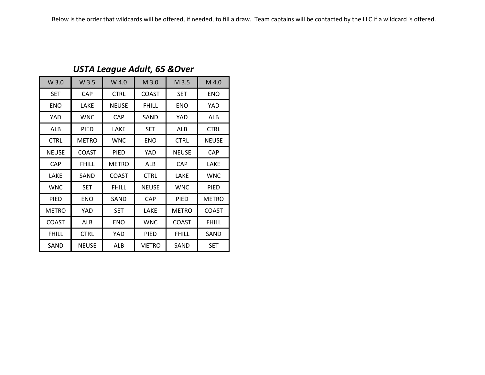| W 3.0        | W 3.5        | W 4.0        | M 3.0        | M 3.5        | M 4.0        |
|--------------|--------------|--------------|--------------|--------------|--------------|
| <b>SET</b>   | <b>CAP</b>   | <b>CTRL</b>  | <b>COAST</b> | <b>SET</b>   | <b>ENO</b>   |
| <b>ENO</b>   | LAKE         | NEUSE        | <b>FHILL</b> | <b>ENO</b>   | YAD          |
| YAD          | <b>WNC</b>   | <b>CAP</b>   | SAND         | YAD          | ALB          |
| ALB          | PIED         | LAKE         | <b>SET</b>   | ALB          | <b>CTRL</b>  |
| <b>CTRL</b>  | <b>METRO</b> | <b>WNC</b>   | <b>ENO</b>   | <b>CTRL</b>  | <b>NEUSE</b> |
| <b>NEUSE</b> | <b>COAST</b> | PIED         | YAD          | <b>NEUSE</b> | <b>CAP</b>   |
| <b>CAP</b>   | <b>FHILL</b> | <b>METRO</b> | ALB          | <b>CAP</b>   | LAKE         |
| LAKE         | SAND         | <b>COAST</b> | <b>CTRL</b>  | LAKE         | <b>WNC</b>   |
| <b>WNC</b>   | <b>SET</b>   | <b>FHILL</b> | <b>NEUSE</b> | <b>WNC</b>   | PIED         |
| PIED         | ENO          | SAND         | CAP          | PIED         | <b>METRO</b> |
| <b>METRO</b> | YAD          | <b>SET</b>   | LAKE         | <b>METRO</b> | COAST        |
| <b>COAST</b> | ALB          | <b>ENO</b>   | <b>WNC</b>   | <b>COAST</b> | <b>FHILL</b> |
| <b>FHILL</b> | <b>CTRL</b>  | YAD          | PIED         | <b>FHILL</b> | SAND         |
| SAND         | <b>NEUSE</b> | ALB          | <b>METRO</b> | SAND         | <b>SET</b>   |

#### *USTA League Adult, 65 &Over*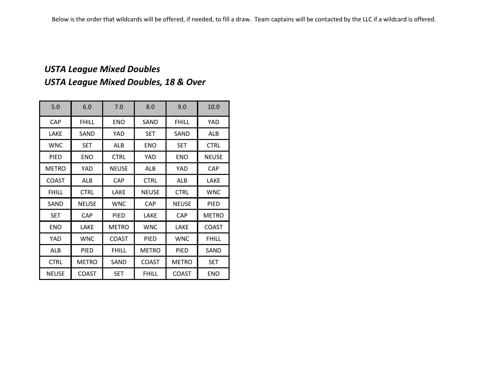# *USTA League Mixed Doubles USTA League Mixed Doubles, 18 & Over*

| 5.0          | 6.0          | 7.0          | 8.0          | 9.0          | 10.0         |
|--------------|--------------|--------------|--------------|--------------|--------------|
| CAP          | <b>FHILL</b> | <b>ENO</b>   | SAND         | <b>FHILL</b> | YAD          |
| LAKE         | SAND         | YAD          | <b>SET</b>   | SAND         | ALB          |
| <b>WNC</b>   | <b>SET</b>   | ALB          | ENO          | <b>SET</b>   | <b>CTRL</b>  |
| <b>PIED</b>  | <b>ENO</b>   | <b>CTRL</b>  | YAD          | <b>ENO</b>   | <b>NEUSE</b> |
| <b>METRO</b> | YAD          | <b>NEUSE</b> | ALB          | YAD          | CAP          |
| <b>COAST</b> | <b>ALB</b>   | <b>CAP</b>   | <b>CTRL</b>  | ALB          | LAKE         |
| <b>FHILL</b> | <b>CTRL</b>  | LAKE         | <b>NEUSE</b> | <b>CTRL</b>  | <b>WNC</b>   |
| SAND         | <b>NEUSE</b> | <b>WNC</b>   | <b>CAP</b>   | <b>NEUSE</b> | <b>PIED</b>  |
| <b>SET</b>   | <b>CAP</b>   | <b>PIED</b>  | LAKE         | <b>CAP</b>   | <b>METRO</b> |
| <b>ENO</b>   | LAKE         | <b>METRO</b> | <b>WNC</b>   | LAKE         | <b>COAST</b> |
| YAD          | <b>WNC</b>   | <b>COAST</b> | <b>PIED</b>  | <b>WNC</b>   | <b>FHILL</b> |
| ALB          | PIED         | <b>FHILL</b> | <b>METRO</b> | PIED         | SAND         |
| <b>CTRL</b>  | <b>METRO</b> | SAND         | <b>COAST</b> | <b>METRO</b> | <b>SET</b>   |
| <b>NEUSE</b> | <b>COAST</b> | <b>SET</b>   | <b>FHILL</b> | <b>COAST</b> | <b>ENO</b>   |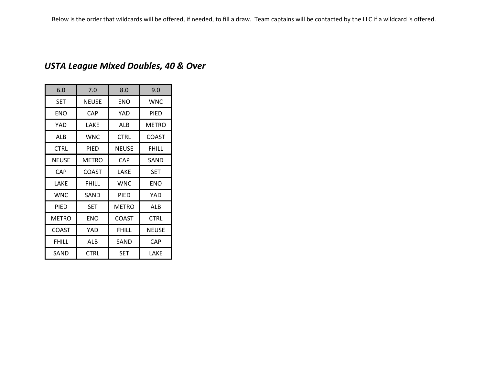# *USTA League Mixed Doubles, 40 & Over*

| 6.0          | 7.0          | 8.0          | 9.0          |
|--------------|--------------|--------------|--------------|
| <b>SET</b>   | <b>NEUSE</b> | <b>ENO</b>   | <b>WNC</b>   |
| <b>ENO</b>   | CAP          | YAD          | <b>PIED</b>  |
| YAD          | LAKE         | ALB          | <b>METRO</b> |
| ALB          | <b>WNC</b>   | <b>CTRL</b>  | <b>COAST</b> |
| <b>CTRL</b>  | PIED         | <b>NEUSE</b> | <b>FHILL</b> |
| <b>NEUSE</b> | METRO        | CAP          | SAND         |
| CAP          | <b>COAST</b> | LAKE         | SET          |
| LAKE         | <b>FHILL</b> | <b>WNC</b>   | ENO          |
| <b>WNC</b>   | SAND         | PIED         | YAD          |
| PIED         | SET          | <b>METRO</b> | ALB          |
| <b>METRO</b> | ENO          | <b>COAST</b> | <b>CTRL</b>  |
| <b>COAST</b> | YAD          | FHILL        | <b>NEUSE</b> |
| <b>FHILL</b> | ALB          | SAND         | CAP          |
| SAND         | <b>CTRL</b>  | <b>SET</b>   | LAKE         |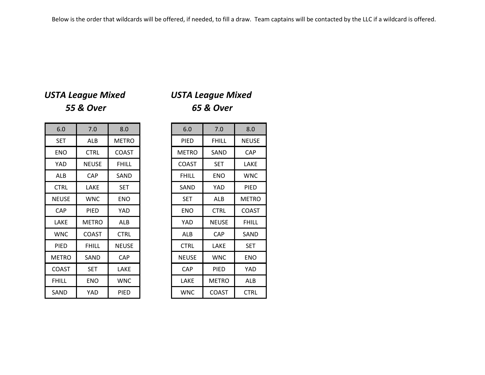# *USTA League Mixed USTA League Mixed*

# *55 & Over 65 & Over*

| 6.0          | 7.0          | 8.0          |
|--------------|--------------|--------------|
| <b>SET</b>   | <b>ALB</b>   | <b>METRO</b> |
| <b>ENO</b>   | <b>CTRL</b>  | <b>COAST</b> |
| <b>YAD</b>   | <b>NEUSE</b> | <b>FHILL</b> |
| ALB          | <b>CAP</b>   | SAND         |
| <b>CTRL</b>  | LAKE         | <b>SET</b>   |
| <b>NEUSE</b> | <b>WNC</b>   | <b>ENO</b>   |
| <b>CAP</b>   | <b>PIED</b>  | YAD          |
| LAKE         | <b>METRO</b> | <b>ALB</b>   |
| <b>WNC</b>   | <b>COAST</b> | <b>CTRL</b>  |
| <b>PIED</b>  | <b>FHILL</b> | <b>NEUSE</b> |
| <b>METRO</b> | SAND         | <b>CAP</b>   |
| COAST        | <b>SET</b>   | LAKE         |
| <b>FHILL</b> | <b>ENO</b>   | <b>WNC</b>   |
| SAND         | YAD          | PIED         |

| 6.0         | 7.0          | 8.0          | 6.0          | 7.0          | 8.0          |
|-------------|--------------|--------------|--------------|--------------|--------------|
| <b>SET</b>  | <b>ALB</b>   | <b>METRO</b> | <b>PIED</b>  | <b>FHILL</b> | <b>NEUSE</b> |
| <b>ENO</b>  | <b>CTRL</b>  | <b>COAST</b> | <b>METRO</b> | SAND         | <b>CAP</b>   |
| YAD         | <b>NEUSE</b> | <b>FHILL</b> | <b>COAST</b> | <b>SET</b>   | LAKE         |
| ALB         | <b>CAP</b>   | SAND         | <b>FHILL</b> | <b>ENO</b>   | <b>WNC</b>   |
| <b>CTRL</b> | LAKE         | <b>SET</b>   | SAND         | YAD          | <b>PIED</b>  |
| NEUSE       | <b>WNC</b>   | <b>ENO</b>   | <b>SET</b>   | ALB          | <b>METRO</b> |
| <b>CAP</b>  | PIED         | YAD          | <b>ENO</b>   | <b>CTRL</b>  | <b>COAST</b> |
| LAKE        | <b>METRO</b> | ALB          | YAD          | <b>NEUSE</b> | <b>FHILL</b> |
| <b>WNC</b>  | <b>COAST</b> | <b>CTRL</b>  | ALB          | CAP          | SAND         |
| <b>PIED</b> | <b>FHILL</b> | <b>NEUSE</b> | <b>CTRL</b>  | LAKE         | <b>SET</b>   |
| METRO       | SAND         | <b>CAP</b>   | <b>NEUSE</b> | <b>WNC</b>   | <b>ENO</b>   |
| COAST       | <b>SET</b>   | LAKE         | <b>CAP</b>   | <b>PIED</b>  | YAD          |
| FHILL       | <b>ENO</b>   | <b>WNC</b>   | LAKE         | <b>METRO</b> | ALB          |
| SAND        | YAD          | PIED         | <b>WNC</b>   | <b>COAST</b> | <b>CTRL</b>  |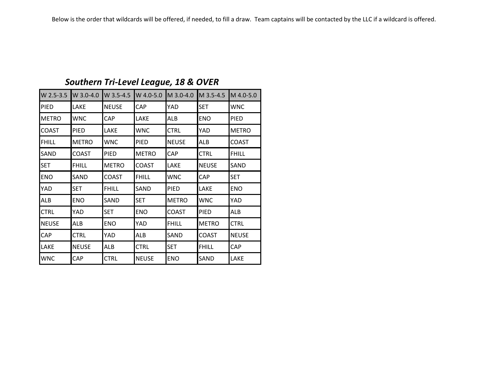| W 2.5-3.5    | W 3.0-4.0    | W 3.5-4.5    | W 4.0-5.0    | M 3.0-4.0    | M 3.5-4.5    | M 4.0-5.0    |
|--------------|--------------|--------------|--------------|--------------|--------------|--------------|
| <b>PIED</b>  | <b>LAKE</b>  | <b>NEUSE</b> | CAP          | YAD          | <b>SET</b>   | <b>WNC</b>   |
| <b>METRO</b> | <b>WNC</b>   | <b>CAP</b>   | LAKE         | <b>ALB</b>   | <b>ENO</b>   | <b>PIED</b>  |
| <b>COAST</b> | <b>PIED</b>  | LAKE         | <b>WNC</b>   | <b>CTRL</b>  | YAD          | <b>METRO</b> |
| <b>FHILL</b> | <b>METRO</b> | WNC          | PIED         | <b>NEUSE</b> | ALB          | <b>COAST</b> |
| SAND         | <b>COAST</b> | <b>PIED</b>  | <b>METRO</b> | <b>CAP</b>   | <b>CTRL</b>  | <b>FHILL</b> |
| <b>SET</b>   | <b>FHILL</b> | <b>METRO</b> | <b>COAST</b> | LAKE         | <b>NEUSE</b> | SAND         |
| <b>ENO</b>   | SAND         | COAST        | <b>FHILL</b> | <b>WNC</b>   | CAP          | <b>SET</b>   |
| YAD          | <b>SET</b>   | FHILL        | SAND         | PIED         | LAKE         | <b>ENO</b>   |
| <b>ALB</b>   | <b>ENO</b>   | SAND         | <b>SET</b>   | <b>METRO</b> | <b>WNC</b>   | YAD          |
| <b>CTRL</b>  | YAD          | <b>SET</b>   | <b>ENO</b>   | <b>COAST</b> | <b>PIED</b>  | ALB          |
| <b>NEUSE</b> | ALB          | ENO          | YAD          | <b>FHILL</b> | <b>METRO</b> | CTRL         |
| <b>CAP</b>   | <b>CTRL</b>  | YAD          | ALB          | SAND         | <b>COAST</b> | <b>NEUSE</b> |
| LAKE         | <b>NEUSE</b> | ALB          | CTRL         | <b>SET</b>   | <b>FHILL</b> | <b>CAP</b>   |
| <b>WNC</b>   | <b>CAP</b>   | <b>CTRL</b>  | <b>NEUSE</b> | <b>ENO</b>   | SAND         | LAKE         |

# *Southern Tri-Level League, 18 & OVER*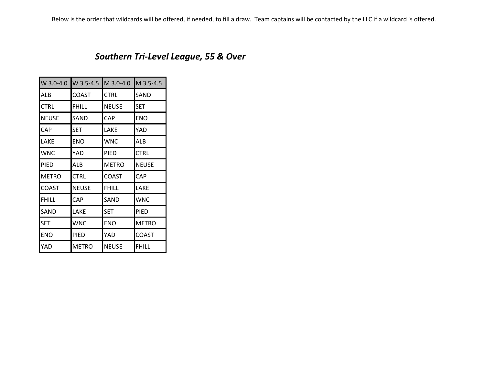### *Southern Tri-Level League, 55 & Over*

| W 3.0-4.0    | W 3.5-4.5    | M 3.0-4.0    | M 3.5-4.5    |
|--------------|--------------|--------------|--------------|
| ALB          | <b>COAST</b> | <b>CTRL</b>  | SAND         |
| <b>CTRL</b>  | FHILL        | <b>NEUSE</b> | SET          |
| <b>NEUSE</b> | SAND         | <b>CAP</b>   | <b>ENO</b>   |
| CAP          | SET          | LAKE         | YAD          |
| LAKE         | <b>ENO</b>   | <b>WNC</b>   | ALB          |
| <b>WNC</b>   | YAD          | <b>PIED</b>  | <b>CTRL</b>  |
| <b>PIED</b>  | ALB          | <b>METRO</b> | <b>NEUSE</b> |
| <b>METRO</b> | <b>CTRL</b>  | <b>COAST</b> | CAP          |
| <b>COAST</b> | <b>NEUSE</b> | <b>FHILL</b> | LAKE         |
| <b>FHILL</b> | CAP          | SAND         | <b>WNC</b>   |
| SAND         | LAKE         | <b>SET</b>   | PIED         |
| <b>SET</b>   | <b>WNC</b>   | <b>ENO</b>   | <b>METRO</b> |
| <b>ENO</b>   | PIED         | YAD          | <b>COAST</b> |
| YAD          | <b>METRO</b> | <b>NEUSE</b> | <b>FHILL</b> |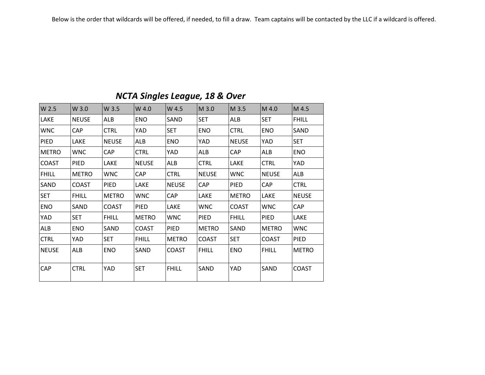### *NCTA Singles League, 18 & Over*

| W 2.5        | W 3.0        | W 3.5        | W 4.0        | W 4.5        | M 3.0        | M 3.5        | M 4.0        | M 4.5        |
|--------------|--------------|--------------|--------------|--------------|--------------|--------------|--------------|--------------|
| LAKE         | <b>NEUSE</b> | ALB          | <b>ENO</b>   | SAND         | <b>SET</b>   | <b>ALB</b>   | <b>SET</b>   | <b>FHILL</b> |
| <b>WNC</b>   | <b>CAP</b>   | <b>CTRL</b>  | <b>YAD</b>   | <b>SET</b>   | <b>ENO</b>   | <b>CTRL</b>  | <b>ENO</b>   | SAND         |
| PIED         | LAKE         | <b>NEUSE</b> | <b>ALB</b>   | <b>ENO</b>   | <b>YAD</b>   | <b>NEUSE</b> | YAD          | <b>SET</b>   |
| <b>METRO</b> | <b>WNC</b>   | <b>CAP</b>   | <b>CTRL</b>  | YAD          | ALB          | <b>CAP</b>   | ALB          | <b>ENO</b>   |
| <b>COAST</b> | PIED         | LAKE         | <b>NEUSE</b> | ALB          | <b>CTRL</b>  | LAKE         | <b>CTRL</b>  | YAD          |
| <b>FHILL</b> | <b>METRO</b> | <b>WNC</b>   | <b>CAP</b>   | <b>CTRL</b>  | <b>NEUSE</b> | <b>WNC</b>   | <b>NEUSE</b> | ALB          |
| SAND         | <b>COAST</b> | <b>PIED</b>  | LAKE         | <b>NEUSE</b> | <b>CAP</b>   | <b>PIED</b>  | <b>CAP</b>   | <b>CTRL</b>  |
| <b>SET</b>   | <b>FHILL</b> | <b>METRO</b> | <b>WNC</b>   | <b>CAP</b>   | LAKE         | <b>METRO</b> | LAKE         | <b>NEUSE</b> |
| <b>ENO</b>   | SAND         | <b>COAST</b> | PIED         | LAKE         | <b>WNC</b>   | <b>COAST</b> | <b>WNC</b>   | CAP          |
| YAD          | <b>SET</b>   | <b>FHILL</b> | <b>METRO</b> | <b>WNC</b>   | <b>PIED</b>  | <b>FHILL</b> | <b>PIED</b>  | <b>LAKE</b>  |
| ALB          | <b>ENO</b>   | SAND         | <b>COAST</b> | <b>PIED</b>  | <b>METRO</b> | SAND         | <b>METRO</b> | <b>WNC</b>   |
| <b>CTRL</b>  | YAD          | <b>SET</b>   | <b>FHILL</b> | <b>METRO</b> | <b>COAST</b> | <b>SET</b>   | <b>COAST</b> | PIED         |
| <b>NEUSE</b> | ALB          | <b>ENO</b>   | SAND         | <b>COAST</b> | <b>FHILL</b> | <b>ENO</b>   | <b>FHILL</b> | <b>METRO</b> |
| CAP          | <b>CTRL</b>  | YAD          | <b>SET</b>   | <b>FHILL</b> | SAND         | <b>YAD</b>   | SAND         | <b>COAST</b> |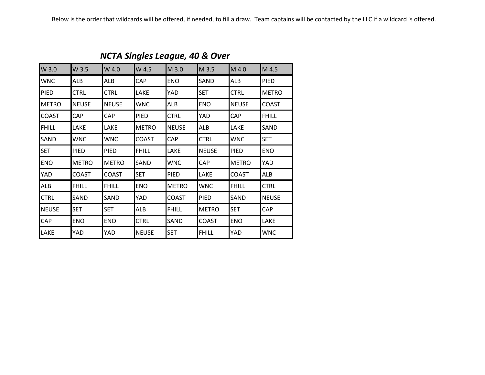| W 3.0        | W 3.5        | W 4.0        | W 4.5        | M 3.0        | M 3.5        | M 4.0        | M 4.5        |
|--------------|--------------|--------------|--------------|--------------|--------------|--------------|--------------|
| <b>WNC</b>   | ALB          | ALB          | <b>CAP</b>   | <b>ENO</b>   | SAND         | ALB          | <b>PIED</b>  |
| PIED         | <b>CTRL</b>  | <b>CTRL</b>  | LAKE         | YAD          | <b>SET</b>   | <b>CTRL</b>  | <b>METRO</b> |
| <b>METRO</b> | <b>NEUSE</b> | <b>NEUSE</b> | <b>WNC</b>   | <b>ALB</b>   | <b>ENO</b>   | <b>NEUSE</b> | <b>COAST</b> |
| <b>COAST</b> | <b>CAP</b>   | CAP          | PIED         | <b>CTRL</b>  | YAD          | <b>CAP</b>   | <b>FHILL</b> |
| <b>FHILL</b> | LAKE         | <b>LAKE</b>  | <b>METRO</b> | <b>NEUSE</b> | ALB          | LAKE         | SAND         |
| SAND         | WNC          | <b>WNC</b>   | <b>COAST</b> | <b>CAP</b>   | <b>CTRL</b>  | <b>WNC</b>   | <b>SET</b>   |
| <b>SET</b>   | <b>PIED</b>  | <b>PIED</b>  | <b>FHILL</b> | <b>LAKE</b>  | <b>NEUSE</b> | <b>PIED</b>  | <b>ENO</b>   |
| <b>ENO</b>   | <b>METRO</b> | <b>METRO</b> | SAND         | <b>WNC</b>   | <b>CAP</b>   | <b>METRO</b> | YAD          |
| <b>YAD</b>   | <b>COAST</b> | <b>COAST</b> | <b>SET</b>   | <b>PIED</b>  | LAKE         | <b>COAST</b> | ALB          |
| ALB          | <b>FHILL</b> | <b>FHILL</b> | <b>ENO</b>   | <b>METRO</b> | <b>WNC</b>   | <b>FHILL</b> | <b>CTRL</b>  |
| <b>CTRL</b>  | SAND         | SAND         | YAD          | <b>COAST</b> | <b>PIED</b>  | SAND         | <b>NEUSE</b> |
| <b>NEUSE</b> | <b>SET</b>   | <b>SET</b>   | ALB          | <b>FHILL</b> | <b>METRO</b> | <b>SET</b>   | CAP          |
| <b>CAP</b>   | <b>ENO</b>   | <b>ENO</b>   | <b>CTRL</b>  | <b>SAND</b>  | <b>COAST</b> | <b>ENO</b>   | LAKE         |
| <b>LAKE</b>  | YAD          | YAD          | <b>NEUSE</b> | <b>SET</b>   | <b>FHILL</b> | YAD          | WNC          |
|              |              |              |              |              |              |              |              |

*NCTA Singles League, 40 & Over*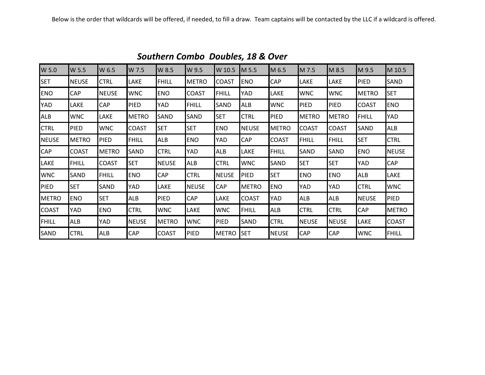| W 5.0        | W 5.5        | W 6.5        | W 7.5        | W 8.5        | W 9.5        | W 10.5       | M 5.5        | M 6.5        | M 7.5        | M 8.5        | M 9.5        | M 10.5       |
|--------------|--------------|--------------|--------------|--------------|--------------|--------------|--------------|--------------|--------------|--------------|--------------|--------------|
| <b>SET</b>   | <b>NEUSE</b> | <b>CTRL</b>  | LAKE         | <b>FHILL</b> | <b>METRO</b> | <b>COAST</b> | <b>ENO</b>   | CAP          | LAKE         | LAKE         | <b>PIED</b>  | SAND         |
| <b>ENO</b>   | <b>CAP</b>   | <b>NEUSE</b> | <b>WNC</b>   | <b>ENO</b>   | <b>COAST</b> | <b>FHILL</b> | YAD          | LAKE         | <b>WNC</b>   | <b>WNC</b>   | <b>METRO</b> | <b>SET</b>   |
| <b>YAD</b>   | LAKE         | <b>CAP</b>   | <b>PIED</b>  | YAD          | <b>FHILL</b> | SAND         | ALB          | <b>WNC</b>   | <b>PIED</b>  | <b>PIED</b>  | <b>COAST</b> | <b>ENO</b>   |
| <b>ALB</b>   | <b>WNC</b>   | LAKE         | <b>METRO</b> | SAND         | SAND         | <b>SET</b>   | <b>CTRL</b>  | PIED         | <b>METRO</b> | <b>METRO</b> | <b>FHILL</b> | YAD          |
| <b>CTRL</b>  | <b>PIED</b>  | <b>WNC</b>   | <b>COAST</b> | <b>SET</b>   | <b>SET</b>   | <b>ENO</b>   | <b>NEUSE</b> | <b>METRO</b> | <b>COAST</b> | <b>COAST</b> | <b>SAND</b>  | ALB          |
| <b>NEUSE</b> | <b>METRO</b> | <b>PIED</b>  | <b>FHILL</b> | ALB          | <b>ENO</b>   | YAD          | CAP          | <b>COAST</b> | <b>FHILL</b> | <b>FHILL</b> | <b>SET</b>   | <b>CTRL</b>  |
| <b>CAP</b>   | <b>COAST</b> | <b>METRO</b> | SAND         | <b>CTRL</b>  | YAD          | <b>ALB</b>   | LAKE         | <b>FHILL</b> | SAND         | <b>SAND</b>  | <b>ENO</b>   | <b>NEUSE</b> |
| LAKE         | <b>FHILL</b> | <b>COAST</b> | <b>SET</b>   | <b>NEUSE</b> | ALB          | <b>CTRL</b>  | <b>WNC</b>   | SAND         | <b>SET</b>   | <b>SET</b>   | <b>YAD</b>   | CAP          |
| <b>WNC</b>   | SAND         | FHILL        | <b>ENO</b>   | CAP          | <b>CTRL</b>  | <b>NEUSE</b> | <b>PIED</b>  | <b>SET</b>   | <b>ENO</b>   | <b>ENO</b>   | <b>ALB</b>   | LAKE         |
| PIED         | <b>SET</b>   | <b>SAND</b>  | YAD          | LAKE         | <b>NEUSE</b> | <b>CAP</b>   | <b>METRO</b> | <b>ENO</b>   | YAD          | <b>YAD</b>   | <b>CTRL</b>  | <b>WNC</b>   |
| <b>METRO</b> | <b>ENO</b>   | <b>SET</b>   | ALB          | PIED         | <b>CAP</b>   | LAKE         | <b>COAST</b> | YAD          | <b>ALB</b>   | <b>ALB</b>   | <b>NEUSE</b> | <b>PIED</b>  |
| <b>COAST</b> | YAD          | <b>ENO</b>   | <b>CTRL</b>  | <b>WNC</b>   | LAKE         | <b>WNC</b>   | <b>FHILL</b> | ALB          | <b>CTRL</b>  | <b>CTRL</b>  | <b>CAP</b>   | <b>METRO</b> |
| <b>FHILL</b> | ALB          | YAD          | <b>NEUSE</b> | <b>METRO</b> | <b>WNC</b>   | <b>PIED</b>  | SAND         | <b>CTRL</b>  | <b>NEUSE</b> | INEUSE       | LAKE         | <b>COAST</b> |
| SAND         | <b>CTRL</b>  | <b>ALB</b>   | CAP          | <b>COAST</b> | <b>PIED</b>  | <b>METRO</b> | <b>SET</b>   | <b>NEUSE</b> | <b>CAP</b>   | <b>CAP</b>   | <b>WNC</b>   | <b>FHILL</b> |

*Southern Combo Doubles, 18 & Over*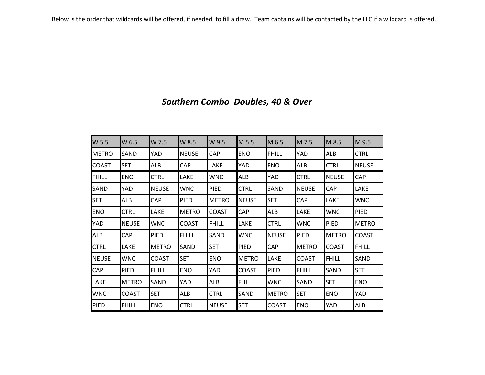| W 5.5        | W 6.5        | W 7.5        | W 8.5        | W 9.5        | M 5.5        | M 6.5        | M 7.5        | M 8.5        | M 9.5        |
|--------------|--------------|--------------|--------------|--------------|--------------|--------------|--------------|--------------|--------------|
| <b>METRO</b> | <b>SAND</b>  | YAD          | <b>NEUSE</b> | <b>CAP</b>   | <b>ENO</b>   | <b>FHILL</b> | YAD          | <b>ALB</b>   | <b>CTRL</b>  |
| <b>COAST</b> | <b>SET</b>   | ALB          | CAP          | LAKE         | YAD          | <b>ENO</b>   | ALB          | <b>CTRL</b>  | <b>NEUSE</b> |
| <b>FHILL</b> | <b>ENO</b>   | <b>CTRL</b>  | <b>LAKE</b>  | <b>WNC</b>   | <b>ALB</b>   | YAD          | <b>CTRL</b>  | <b>NEUSE</b> | <b>CAP</b>   |
| SAND         | YAD          | <b>NEUSE</b> | <b>WNC</b>   | PIED         | <b>CTRL</b>  | <b>SAND</b>  | <b>NEUSE</b> | CAP          | LAKE         |
| <b>SET</b>   | <b>ALB</b>   | <b>CAP</b>   | <b>PIED</b>  | <b>METRO</b> | <b>NEUSE</b> | <b>SET</b>   | <b>CAP</b>   | <b>LAKE</b>  | <b>WNC</b>   |
| <b>ENO</b>   | <b>CTRL</b>  | LAKE         | <b>METRO</b> | <b>COAST</b> | <b>CAP</b>   | ALB          | LAKE         | <b>WNC</b>   | <b>PIED</b>  |
| YAD          | <b>NEUSE</b> | <b>WNC</b>   | <b>COAST</b> | <b>FHILL</b> | LAKE         | CTRL         | <b>WNC</b>   | <b>PIED</b>  | <b>METRO</b> |
| ALB          | CAP          | PIED         | <b>FHILL</b> | SAND         | <b>WNC</b>   | <b>NEUSE</b> | PIED         | <b>METRO</b> | <b>COAST</b> |
| <b>CTRL</b>  | LAKE         | <b>METRO</b> | SAND         | <b>SET</b>   | <b>PIED</b>  | CAP          | <b>METRO</b> | <b>COAST</b> | <b>FHILL</b> |
| <b>NEUSE</b> | <b>WNC</b>   | <b>COAST</b> | <b>SET</b>   | <b>ENO</b>   | <b>METRO</b> | <b>LAKE</b>  | <b>COAST</b> | <b>FHILL</b> | SAND         |
| <b>CAP</b>   | <b>PIED</b>  | <b>FHILL</b> | <b>ENO</b>   | YAD          | <b>COAST</b> | <b>PIED</b>  | <b>FHILL</b> | SAND         | <b>SET</b>   |
| LAKE         | <b>METRO</b> | SAND         | YAD          | ALB          | <b>FHILL</b> | <b>WNC</b>   | SAND         | <b>SET</b>   | <b>ENO</b>   |
| WNC          | <b>COAST</b> | <b>SET</b>   | ALB          | <b>CTRL</b>  | SAND         | <b>METRO</b> | <b>SET</b>   | <b>ENO</b>   | YAD          |
| <b>PIED</b>  | <b>FHILL</b> | <b>ENO</b>   | <b>CTRL</b>  | <b>NEUSE</b> | <b>SET</b>   | <b>COAST</b> | <b>ENO</b>   | <b>YAD</b>   | <b>ALB</b>   |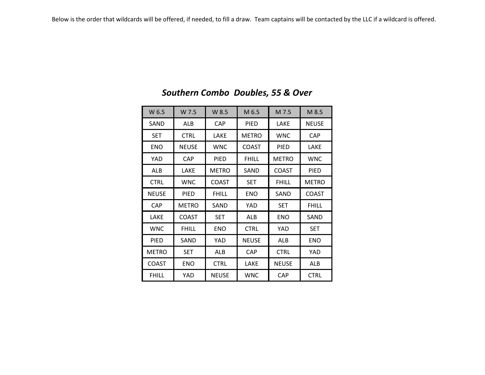| W 6.5        | W 7.5        | W 8.5        | M 6.5        | M 7.5        | M 8.5        |
|--------------|--------------|--------------|--------------|--------------|--------------|
| SAND         | <b>ALB</b>   | <b>CAP</b>   | PIED         | LAKE         | <b>NEUSE</b> |
| <b>SET</b>   | <b>CTRL</b>  | LAKE         | <b>METRO</b> | <b>WNC</b>   | <b>CAP</b>   |
| <b>ENO</b>   | <b>NEUSE</b> | <b>WNC</b>   | <b>COAST</b> | PIED         | LAKE         |
| YAD          | <b>CAP</b>   | PIED         | <b>FHILL</b> | <b>METRO</b> | <b>WNC</b>   |
| <b>ALB</b>   | LAKE         | <b>METRO</b> | SAND         | <b>COAST</b> | <b>PIED</b>  |
| <b>CTRL</b>  | <b>WNC</b>   | <b>COAST</b> | <b>SET</b>   | <b>FHILL</b> | <b>METRO</b> |
| <b>NEUSE</b> | <b>PIED</b>  | <b>FHILL</b> | <b>ENO</b>   | SAND         | <b>COAST</b> |
| <b>CAP</b>   | <b>METRO</b> | SAND         | YAD          | <b>SET</b>   | <b>FHILL</b> |
| LAKE         | <b>COAST</b> | <b>SET</b>   | ALB          | <b>ENO</b>   | SAND         |
| <b>WNC</b>   | <b>FHILL</b> | <b>ENO</b>   | <b>CTRL</b>  | YAD          | <b>SET</b>   |
| <b>PIED</b>  | SAND         | YAD          | <b>NEUSE</b> | <b>ALB</b>   | <b>ENO</b>   |
| <b>METRO</b> | <b>SET</b>   | ALB          | <b>CAP</b>   | <b>CTRL</b>  | YAD          |
| <b>COAST</b> | <b>ENO</b>   | <b>CTRL</b>  | LAKE         | <b>NEUSE</b> | <b>ALB</b>   |
| <b>FHILL</b> | YAD          | <b>NEUSE</b> | <b>WNC</b>   | CAP          | <b>CTRL</b>  |

# *Southern Combo Doubles, 55 & Over*